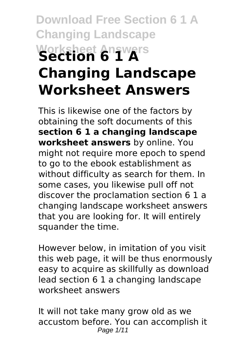# **Download Free Section 6 1 A Changing Landscape Worksheet Answers Section 6 1 A Changing Landscape Worksheet Answers**

This is likewise one of the factors by obtaining the soft documents of this **section 6 1 a changing landscape worksheet answers** by online. You might not require more epoch to spend to go to the ebook establishment as without difficulty as search for them. In some cases, you likewise pull off not discover the proclamation section 6 1 a changing landscape worksheet answers that you are looking for. It will entirely squander the time.

However below, in imitation of you visit this web page, it will be thus enormously easy to acquire as skillfully as download lead section 6 1 a changing landscape worksheet answers

It will not take many grow old as we accustom before. You can accomplish it Page 1/11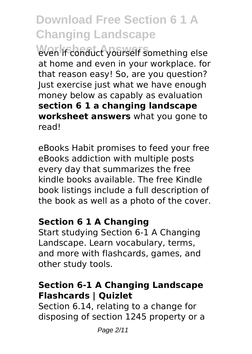**Worksheet Answers** even if conduct yourself something else at home and even in your workplace. for that reason easy! So, are you question? Just exercise just what we have enough money below as capably as evaluation **section 6 1 a changing landscape worksheet answers** what you gone to read!

eBooks Habit promises to feed your free eBooks addiction with multiple posts every day that summarizes the free kindle books available. The free Kindle book listings include a full description of the book as well as a photo of the cover.

#### **Section 6 1 A Changing**

Start studying Section 6-1 A Changing Landscape. Learn vocabulary, terms, and more with flashcards, games, and other study tools.

#### **Section 6-1 A Changing Landscape Flashcards | Quizlet**

Section 6.14, relating to a change for disposing of section 1245 property or a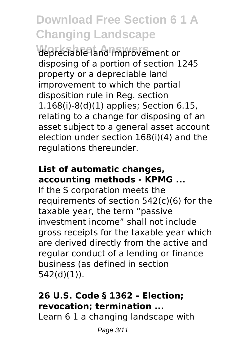**Worksheet Answers** depreciable land improvement or disposing of a portion of section 1245 property or a depreciable land improvement to which the partial disposition rule in Reg. section 1.168(i)-8(d)(1) applies; Section 6.15, relating to a change for disposing of an asset subject to a general asset account election under section 168(i)(4) and the regulations thereunder.

### **List of automatic changes, accounting methods - KPMG ...**

If the S corporation meets the requirements of section 542(c)(6) for the taxable year, the term "passive investment income" shall not include gross receipts for the taxable year which are derived directly from the active and regular conduct of a lending or finance business (as defined in section 542(d)(1)).

### **26 U.S. Code § 1362 - Election; revocation; termination ...**

Learn 6 1 a changing landscape with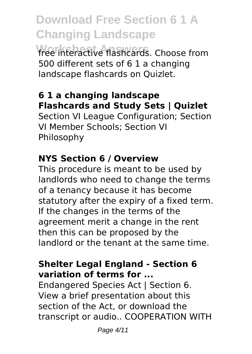**Download Free Section 6 1 A Changing Landscape** free interactive flashcards. Choose from

500 different sets of 6 1 a changing landscape flashcards on Quizlet.

### **6 1 a changing landscape Flashcards and Study Sets | Quizlet**

Section VI League Configuration; Section VI Member Schools; Section VI Philosophy

### **NYS Section 6 / Overview**

This procedure is meant to be used by landlords who need to change the terms of a tenancy because it has become statutory after the expiry of a fixed term. If the changes in the terms of the agreement merit a change in the rent then this can be proposed by the landlord or the tenant at the same time.

### **Shelter Legal England - Section 6 variation of terms for ...**

Endangered Species Act | Section 6. View a brief presentation about this section of the Act, or download the transcript or audio.. COOPERATION WITH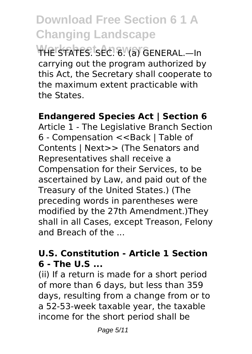**WHE STATES SEC. 6. (a) GENERAL.—In** carrying out the program authorized by this Act, the Secretary shall cooperate to the maximum extent practicable with the States.

### **Endangered Species Act | Section 6**

Article 1 - The Legislative Branch Section 6 - Compensation <<Back | Table of Contents | Next>> (The Senators and Representatives shall receive a Compensation for their Services, to be ascertained by Law, and paid out of the Treasury of the United States.) (The preceding words in parentheses were modified by the 27th Amendment.)They shall in all Cases, except Treason, Felony and Breach of the ...

#### **U.S. Constitution - Article 1 Section 6 - The U.S ...**

(ii) If a return is made for a short period of more than 6 days, but less than 359 days, resulting from a change from or to a 52-53-week taxable year, the taxable income for the short period shall be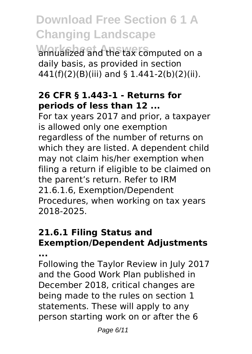**Worksheet Answers** annualized and the tax computed on a daily basis, as provided in section 441(f)(2)(B)(iii) and § 1.441-2(b)(2)(ii).

#### **26 CFR § 1.443-1 - Returns for periods of less than 12 ...**

For tax years 2017 and prior, a taxpayer is allowed only one exemption regardless of the number of returns on which they are listed. A dependent child may not claim his/her exemption when filing a return if eligible to be claimed on the parent's return. Refer to IRM 21.6.1.6, Exemption/Dependent Procedures, when working on tax years 2018-2025.

### **21.6.1 Filing Status and Exemption/Dependent Adjustments**

**...**

Following the Taylor Review in July 2017 and the Good Work Plan published in December 2018, critical changes are being made to the rules on section 1 statements. These will apply to any person starting work on or after the 6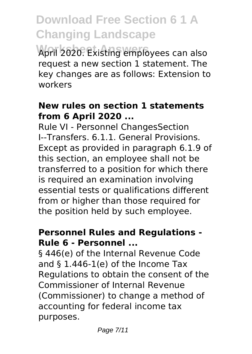**Worksheet Answers** April 2020. Existing employees can also request a new section 1 statement. The key changes are as follows: Extension to workers

#### **New rules on section 1 statements from 6 April 2020 ...**

Rule VI - Personnel ChangesSection I--Transfers. 6.1.1. General Provisions. Except as provided in paragraph 6.1.9 of this section, an employee shall not be transferred to a position for which there is required an examination involving essential tests or qualifications different from or higher than those required for the position held by such employee.

#### **Personnel Rules and Regulations - Rule 6 - Personnel ...**

§ 446(e) of the Internal Revenue Code and § 1.446-1(e) of the Income Tax Regulations to obtain the consent of the Commissioner of Internal Revenue (Commissioner) to change a method of accounting for federal income tax purposes.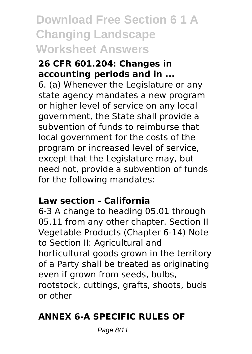### **Download Free Section 6 1 A Changing Landscape Worksheet Answers**

#### **26 CFR 601.204: Changes in accounting periods and in ...**

6. (a) Whenever the Legislature or any state agency mandates a new program or higher level of service on any local government, the State shall provide a subvention of funds to reimburse that local government for the costs of the program or increased level of service, except that the Legislature may, but need not, provide a subvention of funds for the following mandates:

### **Law section - California**

6-3 A change to heading 05.01 through 05.11 from any other chapter. Section II Vegetable Products (Chapter 6-14) Note to Section II: Agricultural and horticultural goods grown in the territory of a Party shall be treated as originating even if grown from seeds, bulbs, rootstock, cuttings, grafts, shoots, buds or other

### **ANNEX 6-A SPECIFIC RULES OF**

Page 8/11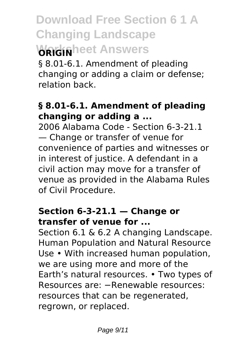## **Download Free Section 6 1 A Changing Landscape Warksheet Answers**

§ 8.01-6.1. Amendment of pleading changing or adding a claim or defense; relation back.

#### **§ 8.01-6.1. Amendment of pleading changing or adding a ...**

2006 Alabama Code - Section 6-3-21.1 — Change or transfer of venue for convenience of parties and witnesses or in interest of justice. A defendant in a civil action may move for a transfer of venue as provided in the Alabama Rules of Civil Procedure.

### **Section 6-3-21.1 — Change or transfer of venue for ...**

Section 6.1 & 6.2 A changing Landscape. Human Population and Natural Resource Use • With increased human population, we are using more and more of the Earth's natural resources. • Two types of Resources are: −Renewable resources: resources that can be regenerated, regrown, or replaced.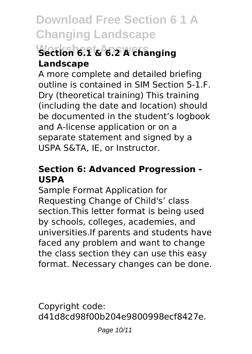### **Worksheet Answers Section 6.1 & 6.2 A changing Landscape**

A more complete and detailed briefing outline is contained in SIM Section 5-1.F. Dry (theoretical training) This training (including the date and location) should be documented in the student's logbook and A-license application or on a separate statement and signed by a USPA S&TA, IE, or Instructor.

### **Section 6: Advanced Progression - USPA**

Sample Format Application for Requesting Change of Child's' class section.This letter format is being used by schools, colleges, academies, and universities.If parents and students have faced any problem and want to change the class section they can use this easy format. Necessary changes can be done.

Copyright code: d41d8cd98f00b204e9800998ecf8427e.

Page 10/11